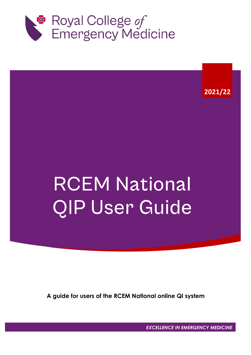

**2021/22**

# **RCEM National** QIP User Guide

**A guide for users of the RCEM National online QI system**

*EXCELLENCE IN EMERGENCY MEDICINE*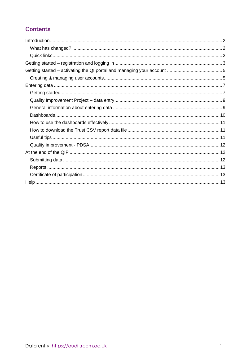# **Contents**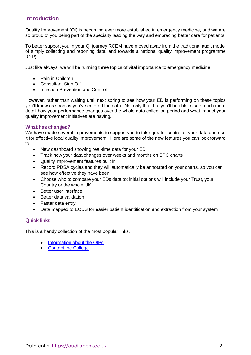## <span id="page-2-0"></span>**Introduction**

Quality Improvement (QI) is becoming ever more established in emergency medicine, and we are so proud of you being part of the specialty leading the way and embracing better care for patients.

To better support you in your QI journey RCEM have moved away from the traditional audit model of simply collecting and reporting data, and towards a national quality improvement programme (QIP).

Just like always, we will be running three topics of vital importance to emergency medicine:

- Pain in Children
- Consultant Sign Off
- Infection Prevention and Control

However, rather than waiting until next spring to see how your ED is performing on these topics you'll know as soon as you've entered the data. Not only that, but you'll be able to see much more detail how your performance changes over the whole data collection period and what impact your quality improvement initiatives are having.

#### <span id="page-2-1"></span>What has changed?

We have made several improvements to support you to take greater control of your data and use it for effective local quality improvement. Here are some of the new features you can look forward to:

- New dashboard showing real-time data for your ED
- Track how your data changes over weeks and months on SPC charts
- Quality improvement features built in
- Record PDSA cycles and they will automatically be annotated on your charts, so you can see how effective they have been
- Choose who to compare your EDs data to; initial options will include your Trust, your Country or the whole UK
- Better user interface
- Better data validation
- Faster data entry
- Data mapped to ECDS for easier patient identification and extraction from your system

### <span id="page-2-2"></span>**Ouick links**

This is a handy collection of the most popular links.

- [Information about the QIPs](https://rcem.ac.uk/quality-improvement-2/)
- [Contact the College](mailto:quality@rcem.ac.uk)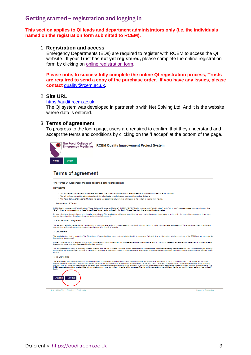## <span id="page-3-0"></span>Getting started - registration and logging in

#### **This section applies to QI leads and department administrators only (i.e. the individuals named on the registration form submitted to RCEM).**

#### 1. **Registration and access**

Emergency Departments (EDs) are required to register with RCEM to access the QI website. If your Trust has **not yet registered,** please complete the online registration form by clicking on [online registration form.](https://login.rcem.ac.uk/atsscrape/RCEM/Webformz/Apply_WFZ_ClinicalAuditRegistrationForm.aspx)

**Please note, to successfully complete the online QI registration process, Trusts are required to send a copy of the purchase order. If you have any issues, please contact** [quality@rcem.ac.uk.](mailto:quality@rcem.ac.uk)

#### 2. **Site URL**

#### [https://audit.rcem.ac.uk](http://audit.rcem.ac.uk/)

The QI system was developed in partnership with Net Solving Ltd. And it is the website where data is entered.

#### 3. **Terms of agreement**

To progress to the login page, users are required to confirm that they understand and accept the terms and conditions by clicking on the 'I accept' at the bottom of the page.



**RCEM Quality Improvement Project System** 

#### **Terms of agreement**

The Terms Of Agreement must be accepted before proceeding:

#### **Key points**

- You will maintain confidentiality of username and password and assume responsibility for all activities that occur under your username and password
- .<br>You will verify contents obtained from the site with the official patient medical record before making medical decisions • The Royal College of Emergency Medicine makes no express or implied warranties with regard to the content or reports from the site

#### 1. Acceptance of Terms

RCEM Quality Improvement Project System ("Royal College of Emergency Medicine", "RCEM", "QIPS", "Quality Improvement Project System", "we", "us" or "our") pro<br>"Site") subject to your acceptance of these Terms. These Terms

By accessing, browsing, entering data or otherwise accessing the Site, you become a User and assert that you have read and understand and agree to be bound by the terms of this Agreement. If you have<br>any questions about th

#### 2. Your Account Obligations

You are responsible for maintaining the confidentiality of your username and your chosen password, and for all activities that occur under your username and password. You agree immediately to notify us of<br>any unauthorised

#### 3. Disclaimers

The medical data and other contents of the Site ("Contents") were furnished by and entered into the Quality Improvement Project System by third parties with the permission of the RCEM and are presented fo<br>Informational pur

Content contained within or reported by the Quality Improvement Project System does not supersede the official patient medical record. The RCEM makes no representations, warranties, or assurances as to<br>the accuracy, curren

the accuracy, currency or completeness of the Content provided.<br>You accept the responsibility to verify any contents obtained from the site. Contents should be verified with the official patient medical record before makin

#### 4. No warranties

The RCEM does not make any express or implied warranties, presentations, or endorsements whatsoever (including, but not limited to, warranties of title or non-infringement, or the implied warranties of<br>Indirectly for finan



C Net Solving 2018 Disclair

ered by CaseCapture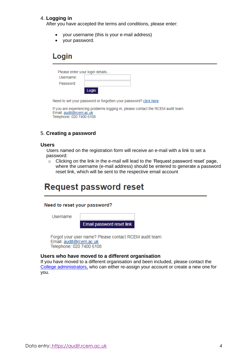#### 4. **Logging in**

After you have accepted the terms and conditions, please enter:

- your username (this is your e-mail address)
- your password.

# Login

| Please enter your login details |       |  |  |  |  |  |
|---------------------------------|-------|--|--|--|--|--|
| Username:                       |       |  |  |  |  |  |
| Password:                       |       |  |  |  |  |  |
|                                 | Login |  |  |  |  |  |

Need to set your password or forgotten your password? click here

If you are experiencing problems logging in, please contact the RCEM audit team. Email: audit@rcem.ac.uk Telephone: 020 7400 6108

#### 5. **Creating a password**

#### **Users**

Users named on the registration form will receive an e-mail with a link to set a password:

o Clicking on the link in the e-mail will lead to the 'Request password reset' page, where the username (e-mail address) should be entered to generate a password reset link, which will be sent to the respective email account

# **Request password reset**

#### Need to reset your password?

Username

Email password reset link

Forgot your user name? Please contact RCEM audit team: Email: audit@rcem.ac.uk Telephone: 020 7400 6108

#### **Users who have moved to a different organisation**

If you have moved to a different organisation and been included, please contact the [College administrators,](mailto:quality@rcem.ac.uk?subject=Audit%20account%20change) who can either re-assign your account or create a new one for you.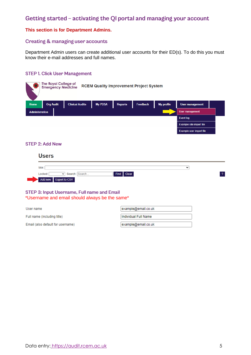# <span id="page-5-0"></span>Getting started - activating the QI portal and managing your account

#### **This section is for Department Admins.**

#### <span id="page-5-1"></span>**Creating & managing user accounts**

Department Admin users can create additional user accounts for their ED(s). To do this you must know their e-mail addresses and full names.

#### **STEP 1. Click User Management**

|                       | <b>The Royal College of</b><br><b>Emergency Medicine</b> |                        |                |                | <b>RCEM Quality Improvement Project System</b> |                   |                          |  |
|-----------------------|----------------------------------------------------------|------------------------|----------------|----------------|------------------------------------------------|-------------------|--------------------------|--|
| Home                  | <b>Org Audit</b>                                         | <b>Clinical Audits</b> | <b>My PDSA</b> | <b>Reports</b> | <b>Feedback</b>                                | <b>My profile</b> | <b>User management</b>   |  |
| <b>Administration</b> |                                                          |                        |                |                |                                                |                   | <b>User management</b>   |  |
|                       |                                                          |                        |                |                |                                                |                   | Event log                |  |
|                       |                                                          |                        |                |                |                                                |                   | Example site import file |  |

#### **STEP 2: Add New**

#### **Users**

| Site:                 |            | $\check{ }$ |  |
|-----------------------|------------|-------------|--|
| rockeq.<br>Searc'     | Find Clear |             |  |
| Add new Export to CSV |            |             |  |

#### STEP 3: Input Username, Full name and Email \*Username and email should always be the same\*

| User name                         | example@email.co.uk  |
|-----------------------------------|----------------------|
| Full name (including title)       | Hndividual Full Name |
| Email (also default for username) | example@email.co.uk  |

Example user import file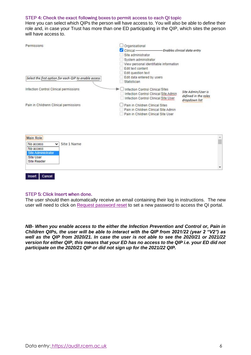#### STEP 4: Check the exact following boxes to permit access to each QI topic

Here you can select which QIPs the person will have access to. You will also be able to define their role and, in case your Trust has more than one ED participating in the QIP, which sites the person will have access to.

| Permissions                                           | Organisational<br>$C$ linical-<br>Site administrator<br>System administrator<br>View personal identifiable information<br>Edit text content<br>Edit question text | -Enables clinical data entry                                |
|-------------------------------------------------------|-------------------------------------------------------------------------------------------------------------------------------------------------------------------|-------------------------------------------------------------|
| Select the first option for each QIP to enable access | Edit data entered by users<br>Statistician                                                                                                                        |                                                             |
| Infection Control Clinical permissions                | Infection Control Clinical Sites<br>Infection Control Clinical Site Admin<br>Infection Control Clinical Site User                                                 | Site Admin/User is<br>defined in the roles<br>dropdown list |
| Pain in Childrenn Clinical permissions                | Pain in Children Clinical Sites<br>Pain in Children Clinical Site Admin<br>Pain in Children Clinical Site User                                                    |                                                             |
| Main Role<br>Site 1 Name<br>No access<br>$\checkmark$ |                                                                                                                                                                   |                                                             |

| No access<br>$\checkmark$ | Site 1 Name     |   |
|---------------------------|-----------------|---|
| No access                 | 양에서는 고자로 가지 아파트 |   |
| Site Administrator        |                 |   |
| Site User                 |                 |   |
| Site Reader               |                 |   |
|                           |                 | × |

#### STEP 5: Click Insert when done.

Insert | Cancel

The user should then automatically receive an email containing their log in instructions. The new user will need to click on [Request password reset](https://audit.rcem.ac.uk/account/ResetPasswordRequest) to set a new password to access the QI portal.

<span id="page-6-0"></span>*NB- When you enable access to the either the Infection Prevention and Control or, Pain in Children QIPs, the user will be able to interact with the QIP from 2021/22 (year 2 "V2") as well as the QIP from 2020/21. In case the user is not able to see the 2020/21 or 2021/22 version for either QIP, this means that your ED has no access to the QIP i.e. your ED did not participate on the 2020/21 QIP or did not sign up for the 2021/22 QIP.*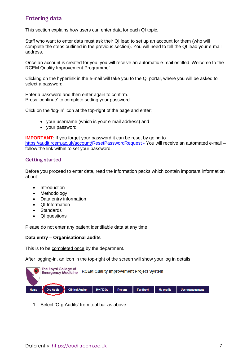# **Entering data**

This section explains how users can enter data for each QI topic.

Staff who want to enter data must ask their QI lead to set up an account for them (who will complete the steps outlined in the previous section). You will need to tell the QI lead your e-mail address.

Once an account is created for you, you will receive an automatic e-mail entitled 'Welcome to the RCEM Quality Improvement Programme'.

Clicking on the hyperlink in the e-mail will take you to the QI portal, where you will be asked to select a password.

Enter a password and then enter again to confirm. Press 'continue' to complete setting your password.

Click on the 'log-in' icon at the top-right of the page and enter:

- your username (which is your e-mail address) and
- your password

**IMPORTANT:** If you forget your password it can be reset by going to

<https://audit.rcem.ac.uk/account/ResetPasswordRequest> - You will receive an automated e-mail – follow the link within to set your password.

#### <span id="page-7-0"></span>**Getting started**

Before you proceed to enter data, read the information packs which contain important information about:

- Introduction
- Methodology
- Data entry information
- QI Information
- **Standards**
- QI questions

Please do not enter any patient identifiable data at any time.

#### **Data entry – Organisational audits**

This is to be completed once by the department.

After logging-in, an icon in the top-right of the screen will show your log in details.



1. Select 'Org Audits' from tool bar as above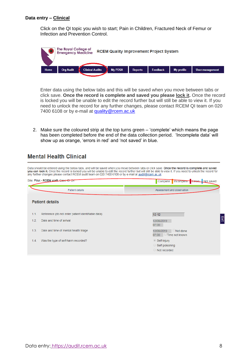#### **Data entry – Clinical**

Click on the QI topic you wish to start; Pain in Children, Fractured Neck of Femur or Infection and Prevention Control.



Enter data using the below tabs and this will be saved when you move between tabs or click save. **Once the record is complete and saved you please lock it.** Once the record is locked you will be unable to edit the record further but will still be able to view it. If you need to unlock the record for any further changes, please contact RCEM QI team on 020 7400 6108 or by e-mail at [quality@rcem.ac.uk](mailto:quality@rcem.ac.uk)

2. Make sure the coloured strip at the top turns green – 'complete' which means the page has been completed before the end of the data collection period. 'Incomplete data' will show up as orange, 'errors in red' and 'not saved' in blue.

# **Mental Health Clinical**

Data should be entered using the below tabs, and will be saved when you move between tabs or click save. Once the record is complete and saved you can lock it. Once the record is locked you will be unable to edit the record further but will still be able to view it. If you need to unlock the record for any further changes please contact RCEM audit team on 020 740

<span id="page-8-0"></span>

| Site: Pilot - RCEM staff, Case ID: 24                      | Not saved<br>Complete   Incomplete              |
|------------------------------------------------------------|-------------------------------------------------|
| Patient details                                            | Assessment and observation                      |
| <b>Patient details</b>                                     |                                                 |
| 1.1.<br>Reference (do not enter patient identifiable data) | $12 - 12$                                       |
| Date and time of arrival<br>1.2.                           | Exit<br>12/08/2019<br>07:00                     |
| 1.3.<br>Date and time of mental health triage              | 12/08/2019<br>Not done<br>07:00 Time not known  |
| Was the type of self-harm recorded?<br>1.4.                | Self-injury<br>Self-poisoning<br>◯ Not recorded |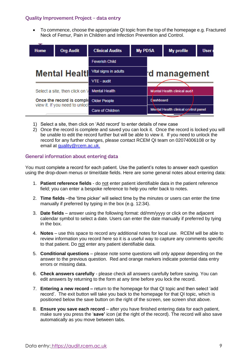### Quality Improvement Project - data entry

• To commence, choose the appropriate QI topic from the top of the homepage e.g. Fractured Neck of Femur, Pain in Children and Infection Prevention and Control.

| $\overline{\phantom{a}}$<br><b>Home</b>                     | <b>Org Audit</b>               | <b>Clinical Audits</b>  | <b>My PDSA</b> |                                      | <b>My profile</b>            | User <sub>1</sub> |
|-------------------------------------------------------------|--------------------------------|-------------------------|----------------|--------------------------------------|------------------------------|-------------------|
|                                                             |                                | <b>Feverish Child</b>   |                |                                      |                              |                   |
| <b>Mental Healtl</b>                                        |                                | Vital signs in adults   |                | 'd management                        |                              |                   |
|                                                             |                                | VTE - audit             |                |                                      |                              |                   |
|                                                             | Select a site, then click on ' | <b>Mental Health</b>    |                |                                      | Mental Health clinical audit |                   |
| Once the record is comple<br>view it. If you need to unlock |                                | <b>Older People</b>     |                | <b>Dashboard</b>                     |                              |                   |
|                                                             |                                | <b>Care of Children</b> |                | Mental Health clinical control panel |                              |                   |

- 1) Select a site, then click on 'Add record' to enter details of new case
- 2) Once the record is complete and saved you can lock it. Once the record is locked you will be unable to edit the record further but will be able to view it. If you need to unlock the record for any further changes, please contact RCEM QI team on 02074006108 or by email at [quality@rcem.ac.uk.](mailto:quality@rcem.ac.uk)

#### <span id="page-9-0"></span>General information about entering data

You must complete a record for each patient. Use the patient's notes to answer each question using the drop-down menus or time/date fields. Here are some general notes about entering data:

- 1. **Patient reference fields** do not enter patient identifiable data in the patient reference field; you can enter a bespoke reference to help you refer back to notes.
- 2. **Time fields** –the 'time picker' will select time by the minutes or users can enter the time manually if preferred by typing in the box (e.g. 12:34).
- 3. **Date fields** answer using the following format: dd/mm/yyyy or click on the adjacent calendar symbol to select a date. Users can enter the date manually if preferred by tying in the box.
- 4. **Notes** use this space to record any additional notes for local use. RCEM will be able to review information you record here so it is a useful way to capture any comments specific to that patient. Do not enter any patient identifiable data.
- 5. **Conditional questions**  please note some questions will only appear depending on the answer to the previous question. Red and orange markers indicate potential data entry errors or missing data.
- 6. **Check answers carefully**  please check all answers carefully before saving. You can edit answers by returning to the form at any time before you lock the record.
- 7. **Entering a new record –** return to the homepage for that QI topic and then select 'add record'. The exit button will take you back to the homepage for that QI topic, which is positioned below the save button on the right of the screen, see screen shot above.
- 8. **Ensure you save each record** after you have finished entering data for each patient, make sure you press the '**save'** icon (at the right of the record). The record will also save automatically as you move between tabs.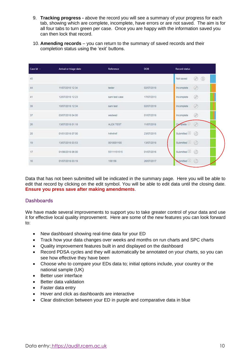- 9. **Tracking progress -** above the record you will see a summary of your progress for each tab, showing which are complete, incomplete, have errors or are not saved. The aim is for all four tabs to turn green per case. Once you are happy with the information saved you can then lock that record.
- 10. **Amending records** you can return to the summary of saved records and their completion status using the 'exit' buttons.

| Case Id -     | Arrival or triage date                     | Reference                   | DOB                                  | <b>Record status</b>         |
|---------------|--------------------------------------------|-----------------------------|--------------------------------------|------------------------------|
| 45            |                                            |                             |                                      | $^{\circ}$<br>◉<br>Not saved |
| 44            | 11/07/2018 12:34                           | tester                      | 02/07/2018                           | ø<br>Incomplete              |
| $\frac{1}{4}$ | 12/07/2018 12:23                           | sam test case               | 17/07/2013                           | ◎<br>Incomplete              |
| 39            | 10/07/2018 12:34                           | sam test                    | 02/07/2018                           | $^{\circ}$<br>Incomplete     |
| 37            | <b>MARKAGEMENT PRO</b><br>03/07/2018 04:00 | <b>ARSOLUTION</b><br>wedwed | All Set of Decision of<br>01/07/2018 | ø<br>Incomplete              |
| 26            | 13/07/2018 01:18                           | ALEX TEST                   | 11/07/2018                           | ø<br>plete                   |
| 20            | 01/01/2018 07:00                           | h4h4h4f                     | 23/07/2015                           | Submitted (A)                |
| 19            | 13/07/2018 03:53                           | 0010001100                  | 13/07/2018                           | Submitted <sup>(a)</sup>     |
| 17            | 01/06/2018 06:00                           | 55111151515                 | 01/07/2016                           | Submitted <sup>(8)</sup>     |
| 16            | 01/07/2018 03:19                           | 156156                      | 26/07/2017                           | Submitted <sup>(8)</sup>     |

Data that has not been submitted will be indicated in the summary page. Here you will be able to edit that record by clicking on the edit symbol. You will be able to edit data until the closing date. **Ensure you press save after making amendments**.

### <span id="page-10-0"></span>**Dashboards**

We have made several improvements to support you to take greater control of your data and use it for effective local quality improvement. Here are some of the new features you can look forward to:

- New dashboard showing real-time data for your ED
- Track how your data changes over weeks and months on run charts and SPC charts
- Quality improvement features built in and displayed on the dashboard
- Record PDSA cycles and they will automatically be annotated on your charts, so you can see how effective they have been
- Choose who to compare your EDs data to; initial options include, your country or the national sample (UK)
- Better user interface
- Better data validation
- Faster data entry
- Hover and click as dashboards are interactive
- <span id="page-10-1"></span>• Clear distinction between your ED in purple and comparative data in blue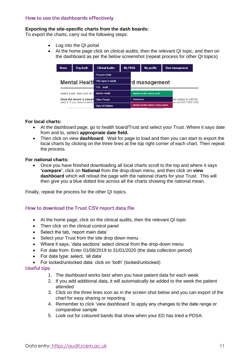#### **Exporting the site-specific charts from the dash boards:**

To export the charts, carry out the following steps:

- Log into the QI portal
- At the home page click on clinical audits, then the relevant QI topic, and then on the dashboard as per the below screenshot (repeat process for other QI topics)

| <b>Home</b>                                                 | <b>Org Audit</b>               | <b>Clinical Audits</b>  |  | <b>My PDSA</b>                       | My profile |  | <b>User management</b>                       |  |
|-------------------------------------------------------------|--------------------------------|-------------------------|--|--------------------------------------|------------|--|----------------------------------------------|--|
| <b>Mental Healtl</b>                                        |                                | <b>Feverish Child</b>   |  |                                      |            |  |                                              |  |
|                                                             |                                | Vital signs in adults   |  | d management                         |            |  |                                              |  |
|                                                             |                                | VTE - audit             |  |                                      |            |  |                                              |  |
|                                                             | Select a site, then click on ' | <b>Mental Health</b>    |  | <b>Mental Health clinical audit</b>  |            |  |                                              |  |
| Once the record is comple<br>view it. If you need to unlock |                                | <b>Older People</b>     |  | <b>Dashboard</b>                     |            |  | be unable to edit the<br>am on 020 7400 6108 |  |
|                                                             |                                | <b>Care of Children</b> |  | Mental Health clinical control panel |            |  |                                              |  |

#### **For local charts:**

- At the dashboard page, go to health board/Trust and select your Trust. Where it says date from and to, select **appropriate date field.**
- Then click on view **dashboard**. Wait for page to load and then you can start to export the local charts by clicking on the three lines at the top right corner of each chart. Then repeat the process.

#### **For national charts:**

• Once you have finished downloading all local charts scroll to the top and where it says **'compare'**, click on **National** from the drop-down menu, and then click on **view dashboard** which will reload the page with the national charts for your Trust. This will then give you a blue dotted line across all the charts showing the national mean.

Finally, repeat the process for the other QI topics.

#### <span id="page-11-0"></span>How to download the Trust CSV report data file

- At the home page, click on the clinical audits, then the relevant QI topic
- Then click on the clinical control panel
- Select the tab, 'report main data'
- Select your Trust from the site drop down menu
- Where it says, 'data sections' select clinical from the drop-down menu
- For date from: Enter 01/08/2019 to 31/01/2020 (the data collection period)
- For data type: select, 'all data'
- For locked/unlocked data: click on 'both' (locked/unlocked)

#### <span id="page-11-1"></span>**Useful tips**

- 1. The dashboard works best when you have patient data for each week
- 2. If you add additional data, it will automatically be added to the week the patient attended
- 3. Click on the three lines icon as in the screen shot below and you can export of the chart for easy sharing or reporting
- 4. Remember to click 'view dashboard' to apply any changes to the date range or comparative sample
- <span id="page-11-2"></span>5. Look out for coloured bands that show when your ED has tried a PDSA.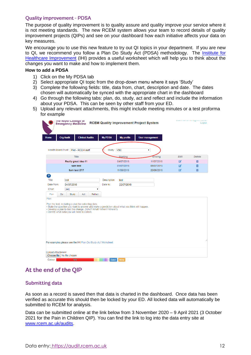#### **Quality improvement - PDSA**

The purpose of quality improvement is to quality assure and quality improve your service where it is not meeting standards. The new RCEM system allows your team to record details of quality improvement projects (QIPs) and see on your dashboard how each initiative affects your data on key measures.

We encourage you to use this new feature to try out QI topics in your department. If you are new to QI, we recommend you follow a Plan Do Study Act (PDSA) methodology. The [Institute for](http://www.ihi.org/resources/Pages/Tools/PlanDoStudyActWorksheet.aspx)  [Healthcare Improvement](http://www.ihi.org/resources/Pages/Tools/PlanDoStudyActWorksheet.aspx) (IHI) provides a useful worksheet which will help you to think about the changes you want to make and how to implement them.

#### **How to add a PDSA**

- 1) Click on the My PDSA tab
- 2) Select appropriate QI topic from the drop-down menu where it says 'Study'
- 3) Complete the following fields: title, data from, chart, description and date. The dates chosen will automatically be synced with the appropriate chart in the dashboard
- 4) Go through the following tabs: plan, do, study, act and reflect and include the information about your PDSA. This can be seen by other staff from your ED.
- 5) Upload any relevant attachments, this might include meeting minutes or a test proforma for example

|                          |                  | The koyal College of<br><b>Emergency Medicine</b>                                                      |                        |            |                                                                                                                               |                                                                                                 | <b>RCEM Quality Improvement Project System</b> |              | <b>CERTIFICATION OF THE CONSUMING OF A REAL PROPERTY.</b><br>Logout |
|--------------------------|------------------|--------------------------------------------------------------------------------------------------------|------------------------|------------|-------------------------------------------------------------------------------------------------------------------------------|-------------------------------------------------------------------------------------------------|------------------------------------------------|--------------|---------------------------------------------------------------------|
| <b>Home</b>              | <b>Org Audit</b> |                                                                                                        | <b>Clinical Audits</b> |            | <b>My PDSA</b>                                                                                                                | <b>My profile</b>                                                                               | <b>User management</b>                         |              |                                                                     |
|                          |                  | Health Board/Trust: Pilot - RCEM staff                                                                 |                        |            | Study: VSC                                                                                                                    |                                                                                                 | $\pmb{\mathrm{v}}$                             |              |                                                                     |
|                          |                  | <b>Title</b>                                                                                           |                        |            |                                                                                                                               | <b>Starting</b>                                                                                 | Ending                                         | <b>Edit</b>  | <b>Delete</b>                                                       |
|                          |                  | Really great idea #1                                                                                   |                        |            |                                                                                                                               | 04/07/2018                                                                                      | 11/07/2018                                     | $\mathbb{Z}$ | 面                                                                   |
|                          |                  | sam test                                                                                               |                        |            |                                                                                                                               | 01/07/2018                                                                                      | 08/07/2018                                     | $\mathbb{Z}$ | 而                                                                   |
|                          |                  | Sam test 27/7                                                                                          |                        |            |                                                                                                                               | 11/06/2018                                                                                      | 20/06/2018                                     | $\mathbf{z}$ | 而                                                                   |
| $\mathbf{r}$             |                  |                                                                                                        |                        |            |                                                                                                                               |                                                                                                 |                                                |              |                                                                     |
| <b>Title</b>             |                  | test                                                                                                   |                        |            | <b>Description</b>                                                                                                            | test                                                                                            |                                                |              |                                                                     |
| Date from:               | 04/07/2018       |                                                                                                        | Date to:               | 22/07/2018 |                                                                                                                               |                                                                                                 |                                                |              |                                                                     |
| Chart                    |                  | [All]                                                                                                  |                        | ▼          |                                                                                                                               |                                                                                                 |                                                |              |                                                                     |
| Plan                     | <b>Do</b>        | Study                                                                                                  | Act                    | Reflect    |                                                                                                                               |                                                                                                 |                                                |              |                                                                     |
| Plan:                    |                  |                                                                                                        |                        |            |                                                                                                                               |                                                                                                 |                                                |              |                                                                     |
|                          |                  | Plan the test, including a plan for collecting data.<br>· Identify what data you will need to collect. |                        |            | • Develop a plan to test the change. (Who? What? When? Where?)<br>For examples please see the IHI Plan-Do-Study-Act Worksheet | - State the question you want to answer and make a prediction about what you think will happen. |                                                |              |                                                                     |
| <b>Upload Attachment</b> |                  | Choose file   No file chosen                                                                           |                        |            |                                                                                                                               |                                                                                                 |                                                |              |                                                                     |
| Colour                   |                  | Red                                                                                                    |                        |            |                                                                                                                               | Save New                                                                                        |                                                |              |                                                                     |

## <span id="page-12-0"></span>At the end of the QIP

#### <span id="page-12-1"></span>**Submitting data**

As soon as a record is saved then that data is charted in the dashboard. Once data has been verified as accurate this should then be locked by your ED. All locked data will automatically be submitted to RCEM for analysis.

Data can be submitted online at the link below from 3 November 2020 – 9 April 2021 (3 October 2021 for the Pain in Children QIP). You can find the link to log into the data entry site at [www.rcem.ac.uk/audits.](http://www.rcem.ac.uk/audits)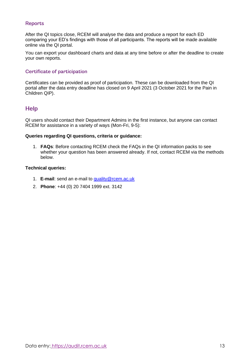## <span id="page-13-0"></span>**Reports**

After the QI topics close, RCEM will analyse the data and produce a report for each ED comparing your ED's findings with those of all participants. The reports will be made available online via the QI portal.

You can export your dashboard charts and data at any time before or after the deadline to create your own reports.

#### <span id="page-13-1"></span>Certificate of participation

Certificates can be provided as proof of participation. These can be downloaded from the QI portal after the data entry deadline has closed on 9 April 2021 (3 October 2021 for the Pain in Children QIP).

## <span id="page-13-2"></span>**Help**

QI users should contact their Department Admins in the first instance, but anyone can contact RCEM for assistance in a variety of ways (Mon-Fri, 9-5):

#### **Queries regarding QI questions, criteria or guidance:**

1. **FAQs**: Before contacting RCEM check the FAQs in the QI information packs to see whether your question has been answered already. If not, contact RCEM via the methods below.

#### **Technical queries:**

- 1. **E-mail**: send an e-mail to [quality@rcem.ac.uk](mailto:quality@rcem.ac.uk)
- 2. **Phone**: +44 (0) 20 7404 1999 ext. 3142